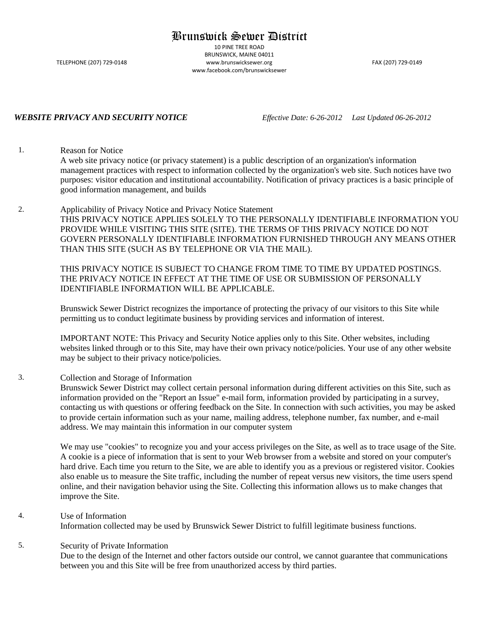# Brunswick Sewer District

10 PINE TREE ROAD BRUNSWICK, MAINE 04011 TELEPHONE (207) 729-0148 www.brunswicksewer.org FAX (207) 729-0149 www.facebook.com/brunswicksewer

*WEBSITE PRIVACY AND SECURITY NOTICE Effective Date: 6-26-2012 Last Updated 06-26-2012*

1. Reason for Notice

A web site privacy notice (or privacy statement) is a public description of an organization's information management practices with respect to information collected by the organization's web site. Such notices have two purposes: visitor education and institutional accountability. Notification of privacy practices is a basic principle of good information management, and builds

2. Applicability of Privacy Notice and Privacy Notice Statement THIS PRIVACY NOTICE APPLIES SOLELY TO THE PERSONALLY IDENTIFIABLE INFORMATION YOU PROVIDE WHILE VISITING THIS SITE (SITE). THE TERMS OF THIS PRIVACY NOTICE DO NOT GOVERN PERSONALLY IDENTIFIABLE INFORMATION FURNISHED THROUGH ANY MEANS OTHER THAN THIS SITE (SUCH AS BY TELEPHONE OR VIA THE MAIL).

THIS PRIVACY NOTICE IS SUBJECT TO CHANGE FROM TIME TO TIME BY UPDATED POSTINGS. THE PRIVACY NOTICE IN EFFECT AT THE TIME OF USE OR SUBMISSION OF PERSONALLY IDENTIFIABLE INFORMATION WILL BE APPLICABLE.

Brunswick Sewer District recognizes the importance of protecting the privacy of our visitors to this Site while permitting us to conduct legitimate business by providing services and information of interest.

IMPORTANT NOTE: This Privacy and Security Notice applies only to this Site. Other websites, including websites linked through or to this Site, may have their own privacy notice/policies. Your use of any other website may be subject to their privacy notice/policies.

#### 3. Collection and Storage of Information

Brunswick Sewer District may collect certain personal information during different activities on this Site, such as information provided on the "Report an Issue" e-mail form, information provided by participating in a survey, contacting us with questions or offering feedback on the Site. In connection with such activities, you may be asked to provide certain information such as your name, mailing address, telephone number, fax number, and e-mail address. We may maintain this information in our computer system

We may use "cookies" to recognize you and your access privileges on the Site, as well as to trace usage of the Site. A cookie is a piece of information that is sent to your Web browser from a website and stored on your computer's hard drive. Each time you return to the Site, we are able to identify you as a previous or registered visitor. Cookies also enable us to measure the Site traffic, including the number of repeat versus new visitors, the time users spend online, and their navigation behavior using the Site. Collecting this information allows us to make changes that improve the Site.

## 4. Use of Information

Information collected may be used by Brunswick Sewer District to fulfill legitimate business functions.

#### 5. Security of Private Information

Due to the design of the Internet and other factors outside our control, we cannot guarantee that communications between you and this Site will be free from unauthorized access by third parties.